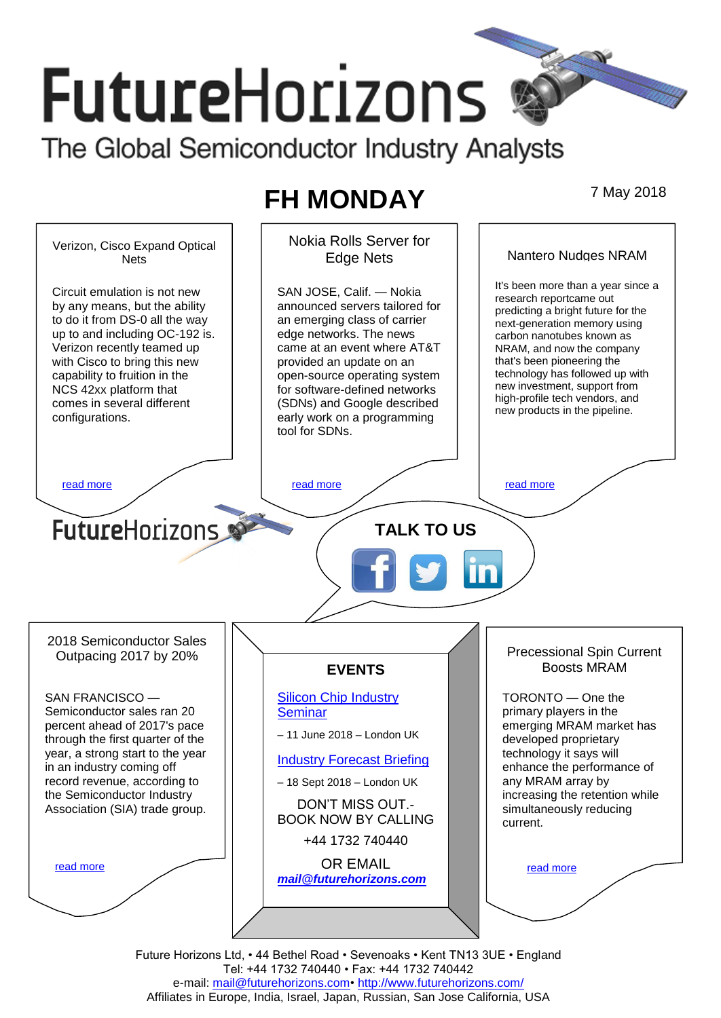# **FutureHorizons** The Global Semiconductor Industry Analysts

# **FH MONDAY** 7 May 2018



Tel: +44 1732 740440 • Fax: +44 1732 740442 e-mail: mail@futurehorizons.com• http://www.futurehorizons.com/ Affiliates in Europe, India, Israel, Japan, Russian, San Jose California, USA